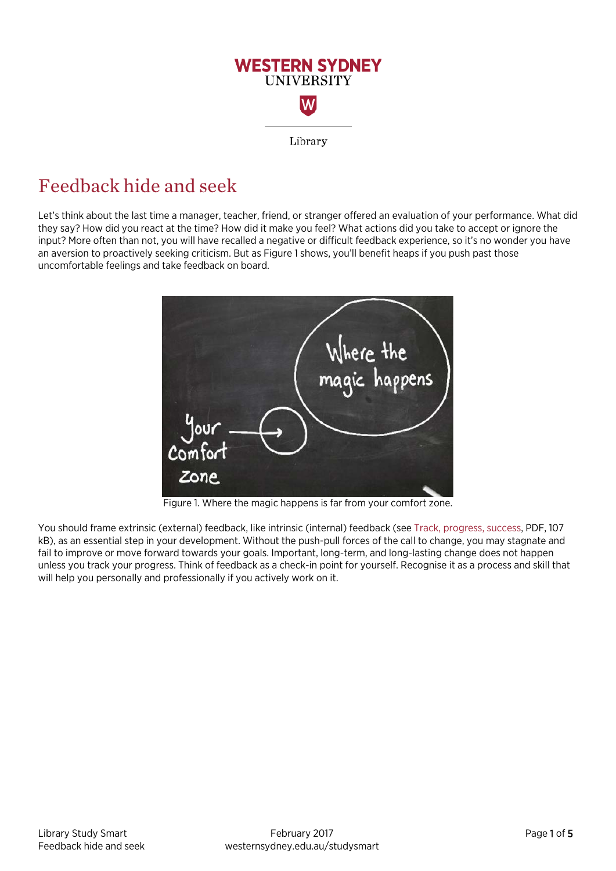

# Feedback hide and seek

Let's think about the last time a manager, teacher, friend, or stranger offered an evaluation of your performance. What did they say? How did you react at the time? How did it make you feel? What actions did you take to accept or ignore the input? More often than not, you will have recalled a negative or difficult feedback experience, so it's no wonder you have an aversion to proactively seeking criticism. But as Figure 1 shows, you'll benefit heaps if you push past those uncomfortable feelings and take feedback on board.



Figure 1. Where the magic happens is far from your comfort zone.

You should frame extrinsic (external) feedback, like intrinsic (internal) feedback (see [Track, progress, success,](https://westernsydney.edu.au/__data/assets/pdf_file/0005/1082804/Track_progress_success.pdf) PDF, 107 kB), as an essential step in your development. Without the push-pull forces of the call to change, you may stagnate and fail to improve or move forward towards your goals. Important, long-term, and long-lasting change does not happen unless you track your progress. Think of feedback as a check-in point for yourself. Recognise it as a process and skill that will help you personally and professionally if you actively work on it.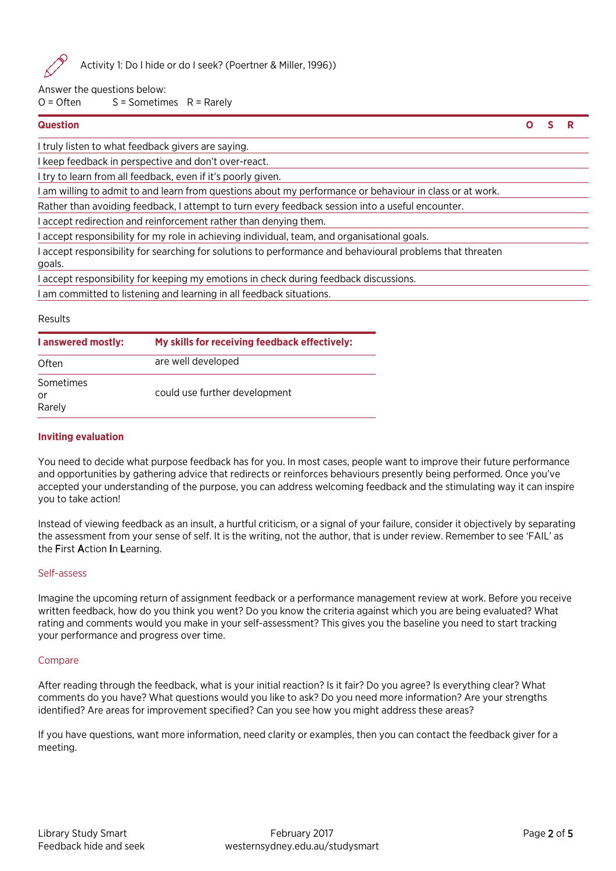

Activity 1: Do I hide or do I seek? (Poertner & Miller, 1996))

Answer the questions below:

 $O =$  Often  $S =$  Sometimes  $R =$  Rarely

**Question O S R**

I truly listen to what feedback givers are saying.

I keep feedback in perspective and don't over-react.

I try to learn from all feedback, even if it's poorly given.

I am willing to admit to and learn from questions about my performance or behaviour in class or at work.

Rather than avoiding feedback, I attempt to turn every feedback session into a useful encounter.

I accept redirection and reinforcement rather than denying them.

I accept responsibility for my role in achieving individual, team, and organisational goals.

I accept responsibility for searching for solutions to performance and behavioural problems that threaten

goals.

I accept responsibility for keeping my emotions in check during feedback discussions.

I am committed to listening and learning in all feedback situations.

# Results

| I answered mostly:        | My skills for receiving feedback effectively: |
|---------------------------|-----------------------------------------------|
| Often                     | are well developed                            |
| Sometimes<br>or<br>Rarely | could use further development                 |

# **Inviting evaluation**

You need to decide what purpose feedback has for you. In most cases, people want to improve their future performance and opportunities by gathering advice that redirects or reinforces behaviours presently being performed. Once you've accepted your understanding of the purpose, you can address welcoming feedback and the stimulating way it can inspire you to take action!

Instead of viewing feedback as an insult, a hurtful criticism, or a signal of your failure, consider it objectively by separating the assessment from your sense of self. It is the writing, not the author, that is under review. Remember to see 'FAIL' as the First Action In Learning.

# Self-assess

Imagine the upcoming return of assignment feedback or a performance management review at work. Before you receive written feedback, how do you think you went? Do you know the criteria against which you are being evaluated? What rating and comments would you make in your self-assessment? This gives you the baseline you need to start tracking your performance and progress over time.

# Compare

After reading through the feedback, what is your initial reaction? Is it fair? Do you agree? Is everything clear? What comments do you have? What questions would you like to ask? Do you need more information? Are your strengths identified? Are areas for improvement specified? Can you see how you might address these areas?

If you have questions, want more information, need clarity or examples, then you can contact the feedback giver for a meeting.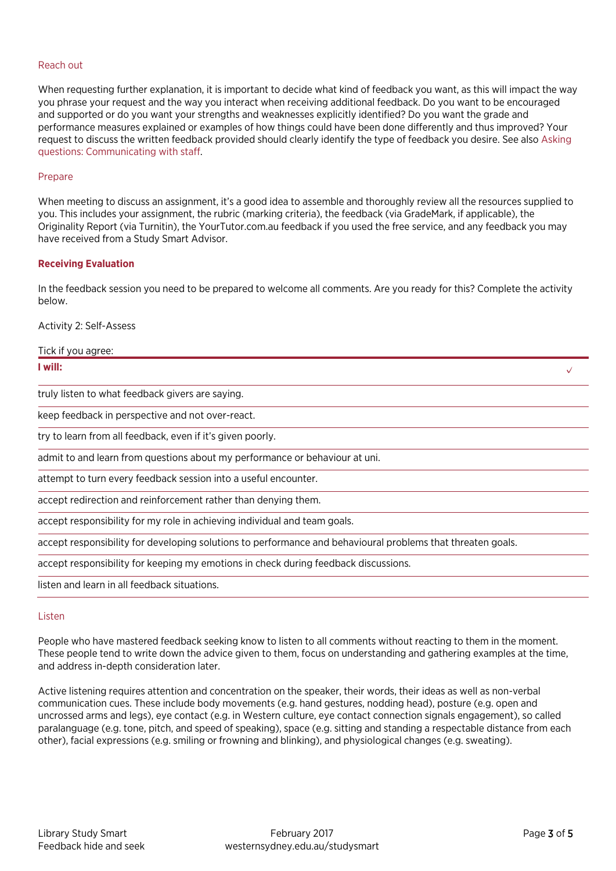#### Reach out

When requesting further explanation, it is important to decide what kind of feedback you want, as this will impact the way you phrase your request and the way you interact when receiving additional feedback. Do you want to be encouraged and supported or do you want your strengths and weaknesses explicitly identified? Do you want the grade and performance measures explained or examples of how things could have been done differently and thus improved? Your request to discuss the written feedback provided should clearly identify the type of feedback you desire. See also [Asking](http://westernsydney.edu.au/studysmart/home/more_strategies_for_success/asking_questions)  [questions: Communicating with staff.](http://westernsydney.edu.au/studysmart/home/more_strategies_for_success/asking_questions) 

#### Prepare

When meeting to discuss an assignment, it's a good idea to assemble and thoroughly review all the resources supplied to you. This includes your assignment, the rubric (marking criteria), the feedback (via GradeMark, if applicable), the Originality Report (via Turnitin), the YourTutor.com.au feedback if you used the free service, and any feedback you may have received from a Study Smart Advisor.

#### **Receiving Evaluation**

In the feedback session you need to be prepared to welcome all comments. Are you ready for this? Complete the activity below.

Activity 2: Self-Assess

| Tick if you agree:                                                                                          |  |
|-------------------------------------------------------------------------------------------------------------|--|
| I will:                                                                                                     |  |
| truly listen to what feedback givers are saying.                                                            |  |
| keep feedback in perspective and not over-react.                                                            |  |
| try to learn from all feedback, even if it's given poorly.                                                  |  |
| admit to and learn from questions about my performance or behaviour at uni.                                 |  |
| attempt to turn every feedback session into a useful encounter.                                             |  |
| accept redirection and reinforcement rather than denying them.                                              |  |
| accept responsibility for my role in achieving individual and team goals.                                   |  |
| accept responsibility for developing solutions to performance and behavioural problems that threaten goals. |  |
| accept responsibility for keeping my emotions in check during feedback discussions.                         |  |

listen and learn in all feedback situations.

#### Listen

People who have mastered feedback seeking know to listen to all comments without reacting to them in the moment. These people tend to write down the advice given to them, focus on understanding and gathering examples at the time, and address in-depth consideration later.

Active listening requires attention and concentration on the speaker, their words, their ideas as well as non-verbal communication cues. These include body movements (e.g. hand gestures, nodding head), posture (e.g. open and uncrossed arms and legs), eye contact (e.g. in Western culture, eye contact connection signals engagement), so called paralanguage (e.g. tone, pitch, and speed of speaking), space (e.g. sitting and standing a respectable distance from each other), facial expressions (e.g. smiling or frowning and blinking), and physiological changes (e.g. sweating).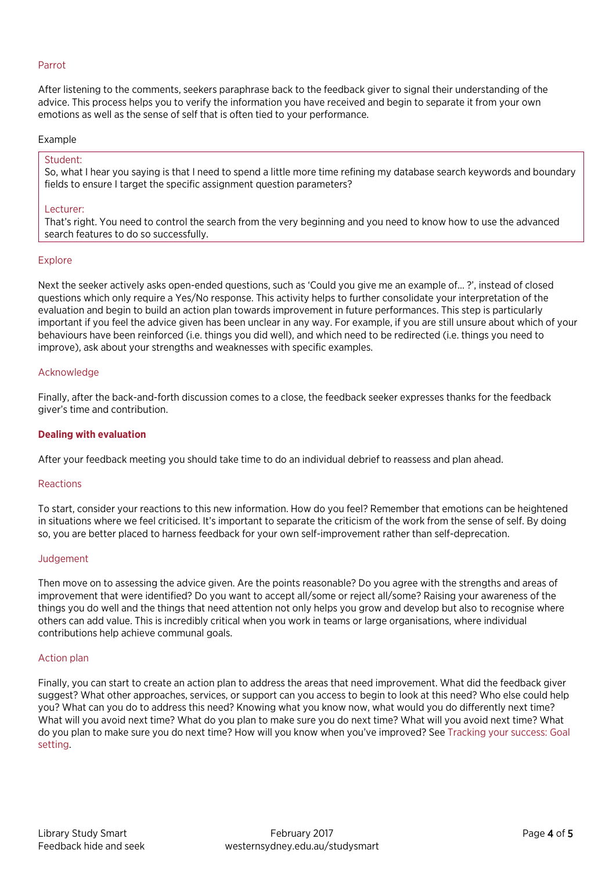# Parrot

After listening to the comments, seekers paraphrase back to the feedback giver to signal their understanding of the advice. This process helps you to verify the information you have received and begin to separate it from your own emotions as well as the sense of self that is often tied to your performance.

# Example

# Student:

So, what I hear you saying is that I need to spend a little more time refining my database search keywords and boundary fields to ensure I target the specific assignment question parameters?

# Lecturer:

That's right. You need to control the search from the very beginning and you need to know how to use the advanced search features to do so successfully.

#### Explore

Next the seeker actively asks open-ended questions, such as 'Could you give me an example of… ?', instead of closed questions which only require a Yes/No response. This activity helps to further consolidate your interpretation of the evaluation and begin to build an action plan towards improvement in future performances. This step is particularly important if you feel the advice given has been unclear in any way. For example, if you are still unsure about which of your behaviours have been reinforced (i.e. things you did well), and which need to be redirected (i.e. things you need to improve), ask about your strengths and weaknesses with specific examples.

# Acknowledge

Finally, after the back-and-forth discussion comes to a close, the feedback seeker expresses thanks for the feedback giver's time and contribution.

# **Dealing with evaluation**

After your feedback meeting you should take time to do an individual debrief to reassess and plan ahead.

#### Reactions

To start, consider your reactions to this new information. How do you feel? Remember that emotions can be heightened in situations where we feel criticised. It's important to separate the criticism of the work from the sense of self. By doing so, you are better placed to harness feedback for your own self-improvement rather than self-deprecation.

#### Judgement

Then move on to assessing the advice given. Are the points reasonable? Do you agree with the strengths and areas of improvement that were identified? Do you want to accept all/some or reject all/some? Raising your awareness of the things you do well and the things that need attention not only helps you grow and develop but also to recognise where others can add value. This is incredibly critical when you work in teams or large organisations, where individual contributions help achieve communal goals.

#### Action plan

Finally, you can start to create an action plan to address the areas that need improvement. What did the feedback giver suggest? What other approaches, services, or support can you access to begin to look at this need? Who else could help you? What can you do to address this need? Knowing what you know now, what would you do differently next time? What will you avoid next time? What do you plan to make sure you do next time? What will you avoid next time? What do you plan to make sure you do next time? How will you know when you've improved? Se[e Tracking your success: Goal](http://westernsydney.edu.au/studysmart/home/more_strategies_for_success/tracking_your_success)  [setting.](http://westernsydney.edu.au/studysmart/home/more_strategies_for_success/tracking_your_success)